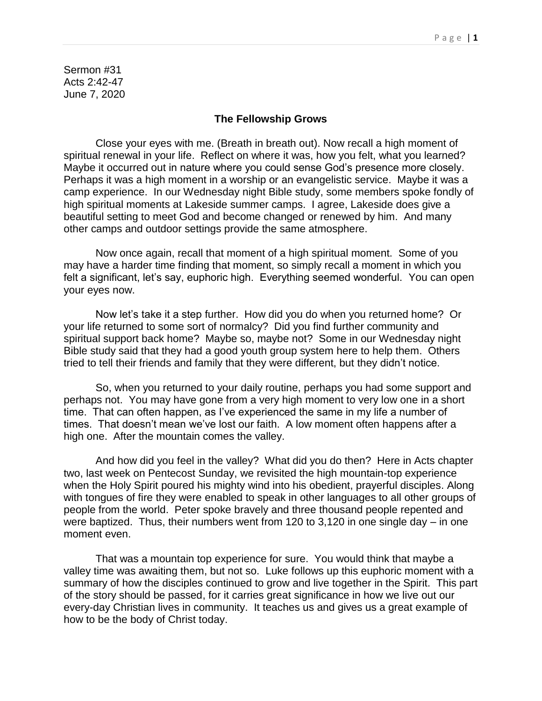Sermon #31 Acts 2:42-47 June 7, 2020

## **The Fellowship Grows**

Close your eyes with me. (Breath in breath out). Now recall a high moment of spiritual renewal in your life. Reflect on where it was, how you felt, what you learned? Maybe it occurred out in nature where you could sense God's presence more closely. Perhaps it was a high moment in a worship or an evangelistic service. Maybe it was a camp experience. In our Wednesday night Bible study, some members spoke fondly of high spiritual moments at Lakeside summer camps. I agree, Lakeside does give a beautiful setting to meet God and become changed or renewed by him. And many other camps and outdoor settings provide the same atmosphere.

Now once again, recall that moment of a high spiritual moment. Some of you may have a harder time finding that moment, so simply recall a moment in which you felt a significant, let's say, euphoric high. Everything seemed wonderful. You can open your eyes now.

Now let's take it a step further. How did you do when you returned home? Or your life returned to some sort of normalcy? Did you find further community and spiritual support back home? Maybe so, maybe not? Some in our Wednesday night Bible study said that they had a good youth group system here to help them. Others tried to tell their friends and family that they were different, but they didn't notice.

So, when you returned to your daily routine, perhaps you had some support and perhaps not. You may have gone from a very high moment to very low one in a short time. That can often happen, as I've experienced the same in my life a number of times. That doesn't mean we've lost our faith. A low moment often happens after a high one. After the mountain comes the valley.

And how did you feel in the valley? What did you do then? Here in Acts chapter two, last week on Pentecost Sunday, we revisited the high mountain-top experience when the Holy Spirit poured his mighty wind into his obedient, prayerful disciples. Along with tongues of fire they were enabled to speak in other languages to all other groups of people from the world. Peter spoke bravely and three thousand people repented and were baptized. Thus, their numbers went from 120 to 3,120 in one single day – in one moment even.

That was a mountain top experience for sure. You would think that maybe a valley time was awaiting them, but not so. Luke follows up this euphoric moment with a summary of how the disciples continued to grow and live together in the Spirit. This part of the story should be passed, for it carries great significance in how we live out our every-day Christian lives in community. It teaches us and gives us a great example of how to be the body of Christ today.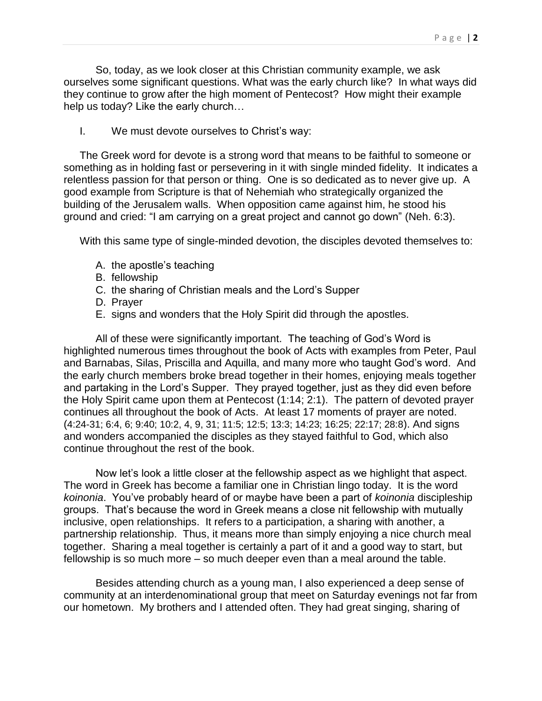So, today, as we look closer at this Christian community example, we ask ourselves some significant questions. What was the early church like? In what ways did they continue to grow after the high moment of Pentecost? How might their example help us today? Like the early church…

I. We must devote ourselves to Christ's way:

The Greek word for devote is a strong word that means to be faithful to someone or something as in holding fast or persevering in it with single minded fidelity. It indicates a relentless passion for that person or thing. One is so dedicated as to never give up. A good example from Scripture is that of Nehemiah who strategically organized the building of the Jerusalem walls. When opposition came against him, he stood his ground and cried: "I am carrying on a great project and cannot go down" (Neh. 6:3).

With this same type of single-minded devotion, the disciples devoted themselves to:

- A. the apostle's teaching
- B. fellowship
- C. the sharing of Christian meals and the Lord's Supper
- D. Prayer
- E. signs and wonders that the Holy Spirit did through the apostles.

All of these were significantly important. The teaching of God's Word is highlighted numerous times throughout the book of Acts with examples from Peter, Paul and Barnabas, Silas, Priscilla and Aquilla, and many more who taught God's word. And the early church members broke bread together in their homes, enjoying meals together and partaking in the Lord's Supper. They prayed together, just as they did even before the Holy Spirit came upon them at Pentecost (1:14; 2:1). The pattern of devoted prayer continues all throughout the book of Acts. At least 17 moments of prayer are noted. (4:24-31; 6:4, 6; 9:40; 10:2, 4, 9, 31; 11:5; 12:5; 13:3; 14:23; 16:25; 22:17; 28:8). And signs and wonders accompanied the disciples as they stayed faithful to God, which also continue throughout the rest of the book.

Now let's look a little closer at the fellowship aspect as we highlight that aspect. The word in Greek has become a familiar one in Christian lingo today. It is the word *koinonia*. You've probably heard of or maybe have been a part of *koinonia* discipleship groups. That's because the word in Greek means a close nit fellowship with mutually inclusive, open relationships. It refers to a participation, a sharing with another, a partnership relationship. Thus, it means more than simply enjoying a nice church meal together. Sharing a meal together is certainly a part of it and a good way to start, but fellowship is so much more – so much deeper even than a meal around the table.

Besides attending church as a young man, I also experienced a deep sense of community at an interdenominational group that meet on Saturday evenings not far from our hometown. My brothers and I attended often. They had great singing, sharing of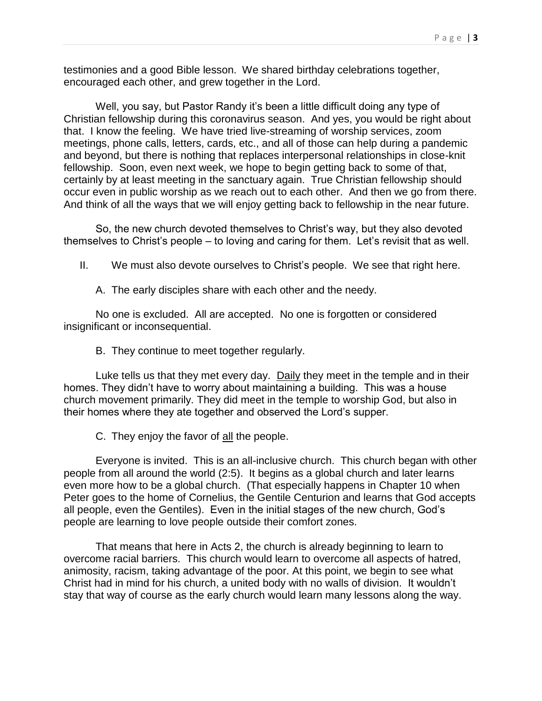testimonies and a good Bible lesson. We shared birthday celebrations together, encouraged each other, and grew together in the Lord.

Well, you say, but Pastor Randy it's been a little difficult doing any type of Christian fellowship during this coronavirus season. And yes, you would be right about that. I know the feeling. We have tried live-streaming of worship services, zoom meetings, phone calls, letters, cards, etc., and all of those can help during a pandemic and beyond, but there is nothing that replaces interpersonal relationships in close-knit fellowship. Soon, even next week, we hope to begin getting back to some of that, certainly by at least meeting in the sanctuary again. True Christian fellowship should occur even in public worship as we reach out to each other. And then we go from there. And think of all the ways that we will enjoy getting back to fellowship in the near future.

So, the new church devoted themselves to Christ's way, but they also devoted themselves to Christ's people – to loving and caring for them. Let's revisit that as well.

II. We must also devote ourselves to Christ's people. We see that right here.

A. The early disciples share with each other and the needy.

No one is excluded. All are accepted. No one is forgotten or considered insignificant or inconsequential.

B. They continue to meet together regularly.

Luke tells us that they met every day. Daily they meet in the temple and in their homes. They didn't have to worry about maintaining a building. This was a house church movement primarily. They did meet in the temple to worship God, but also in their homes where they ate together and observed the Lord's supper.

C. They enjoy the favor of all the people.

Everyone is invited. This is an all-inclusive church. This church began with other people from all around the world (2:5). It begins as a global church and later learns even more how to be a global church. (That especially happens in Chapter 10 when Peter goes to the home of Cornelius, the Gentile Centurion and learns that God accepts all people, even the Gentiles). Even in the initial stages of the new church, God's people are learning to love people outside their comfort zones.

That means that here in Acts 2, the church is already beginning to learn to overcome racial barriers. This church would learn to overcome all aspects of hatred, animosity, racism, taking advantage of the poor. At this point, we begin to see what Christ had in mind for his church, a united body with no walls of division. It wouldn't stay that way of course as the early church would learn many lessons along the way.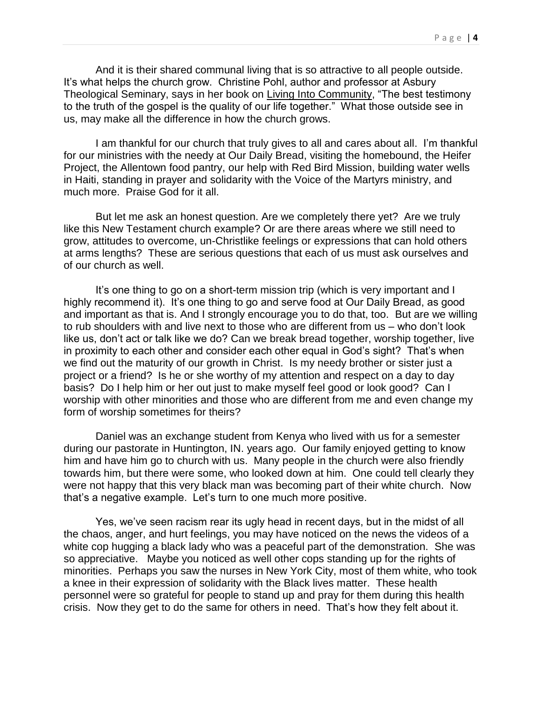And it is their shared communal living that is so attractive to all people outside. It's what helps the church grow. Christine Pohl, author and professor at Asbury Theological Seminary, says in her book on Living Into Community, "The best testimony to the truth of the gospel is the quality of our life together." What those outside see in us, may make all the difference in how the church grows.

I am thankful for our church that truly gives to all and cares about all. I'm thankful for our ministries with the needy at Our Daily Bread, visiting the homebound, the Heifer Project, the Allentown food pantry, our help with Red Bird Mission, building water wells in Haiti, standing in prayer and solidarity with the Voice of the Martyrs ministry, and much more. Praise God for it all.

But let me ask an honest question. Are we completely there yet? Are we truly like this New Testament church example? Or are there areas where we still need to grow, attitudes to overcome, un-Christlike feelings or expressions that can hold others at arms lengths? These are serious questions that each of us must ask ourselves and of our church as well.

It's one thing to go on a short-term mission trip (which is very important and I highly recommend it). It's one thing to go and serve food at Our Daily Bread, as good and important as that is. And I strongly encourage you to do that, too. But are we willing to rub shoulders with and live next to those who are different from us – who don't look like us, don't act or talk like we do? Can we break bread together, worship together, live in proximity to each other and consider each other equal in God's sight? That's when we find out the maturity of our growth in Christ. Is my needy brother or sister just a project or a friend? Is he or she worthy of my attention and respect on a day to day basis? Do I help him or her out just to make myself feel good or look good? Can I worship with other minorities and those who are different from me and even change my form of worship sometimes for theirs?

Daniel was an exchange student from Kenya who lived with us for a semester during our pastorate in Huntington, IN. years ago. Our family enjoyed getting to know him and have him go to church with us. Many people in the church were also friendly towards him, but there were some, who looked down at him. One could tell clearly they were not happy that this very black man was becoming part of their white church. Now that's a negative example. Let's turn to one much more positive.

Yes, we've seen racism rear its ugly head in recent days, but in the midst of all the chaos, anger, and hurt feelings, you may have noticed on the news the videos of a white cop hugging a black lady who was a peaceful part of the demonstration. She was so appreciative. Maybe you noticed as well other cops standing up for the rights of minorities. Perhaps you saw the nurses in New York City, most of them white, who took a knee in their expression of solidarity with the Black lives matter. These health personnel were so grateful for people to stand up and pray for them during this health crisis. Now they get to do the same for others in need. That's how they felt about it.